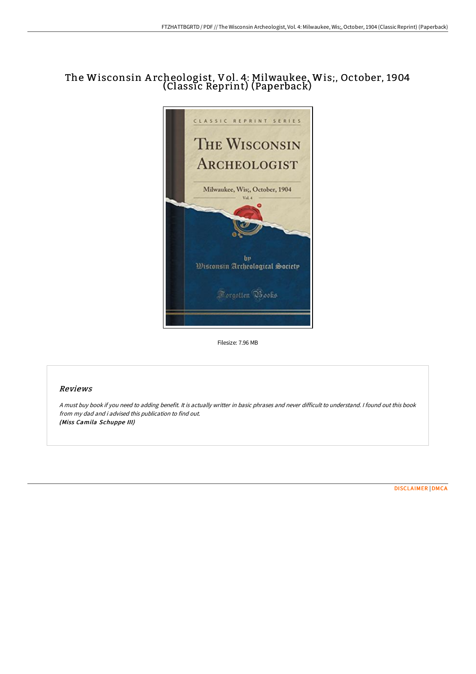## The Wisconsin A rcheologist, Vol. 4: Milwaukee, Wis;, October, 1904 (Classic Reprint) (Paperback)



Filesize: 7.96 MB

## Reviews

<sup>A</sup> must buy book if you need to adding benefit. It is actually writter in basic phrases and never difficult to understand. <sup>I</sup> found out this book from my dad and i advised this publication to find out. (Miss Camila Schuppe III)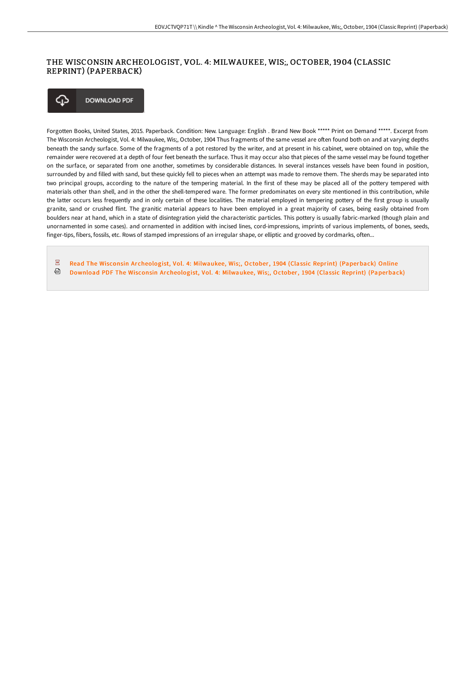## THE WISCONSIN ARCHEOLOGIST, VOL. 4: MILWAUKEE, WIS;, OCTOBER, 1904 (CLASSIC REPRINT) (PAPERBACK)

**DOWNLOAD PDF** ঞ

Forgotten Books, United States, 2015. Paperback. Condition: New. Language: English . Brand New Book \*\*\*\*\* Print on Demand \*\*\*\*\*. Excerpt from The Wisconsin Archeologist, Vol. 4: Milwaukee, Wis;, October, 1904 Thus fragments of the same vessel are often found both on and at varying depths beneath the sandy surface. Some of the fragments of a pot restored by the writer, and at present in his cabinet, were obtained on top, while the remainder were recovered at a depth of four feet beneath the surface. Thus it may occur also that pieces of the same vessel may be found together on the surface, or separated from one another, sometimes by considerable distances. In several instances vessels have been found in position, surrounded by and filled with sand, but these quickly fell to pieces when an attempt was made to remove them. The sherds may be separated into two principal groups, according to the nature of the tempering material. In the first of these may be placed all of the pottery tempered with materials other than shell, and in the other the shell-tempered ware. The former predominates on every site mentioned in this contribution, while the latter occurs less frequently and in only certain of these localities. The material employed in tempering pottery of the first group is usually granite, sand or crushed flint. The granitic material appears to have been employed in a great majority of cases, being easily obtained from boulders near at hand, which in a state of disintegration yield the characteristic particles. This pottery is usually fabric-marked (though plain and unornamented in some cases). and ornamented in addition with incised lines, cord-impressions, imprints of various implements, of bones, seeds, finger-tips, fibers, fossils, etc. Rows of stamped impressions of an irregular shape, or elliptic and grooved by cordmarks, often...

 $\overline{p}$ Read The Wisconsin Archeologist, Vol. 4: Milwaukee, Wis;, October, 1904 (Classic Reprint) [\(Paperback\)](http://bookera.tech/the-wisconsin-archeologist-vol-4-milwaukee-wis-o.html) Online ଈ Download PDF The Wisconsin Archeologist, Vol. 4: Milwaukee, Wis;, October, 1904 (Classic Reprint) [\(Paperback\)](http://bookera.tech/the-wisconsin-archeologist-vol-4-milwaukee-wis-o.html)